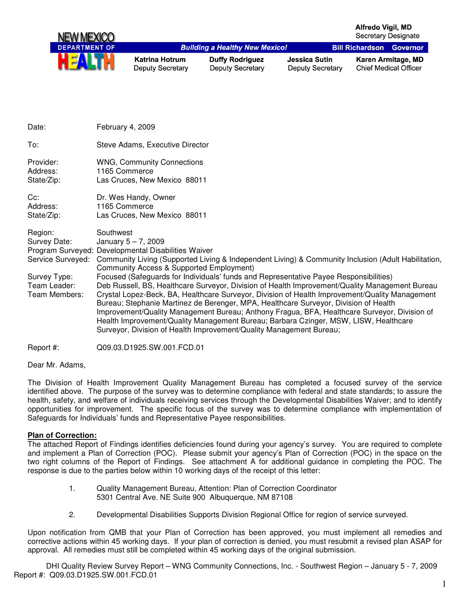

| Date:                                                                                         | February 4, 2009                                                                                                                                                                                                                                                                                                                                                                                                                                                                                                                                                                                                                                                                                                                                                                                                                                                                                  |
|-----------------------------------------------------------------------------------------------|---------------------------------------------------------------------------------------------------------------------------------------------------------------------------------------------------------------------------------------------------------------------------------------------------------------------------------------------------------------------------------------------------------------------------------------------------------------------------------------------------------------------------------------------------------------------------------------------------------------------------------------------------------------------------------------------------------------------------------------------------------------------------------------------------------------------------------------------------------------------------------------------------|
| To:                                                                                           | Steve Adams, Executive Director                                                                                                                                                                                                                                                                                                                                                                                                                                                                                                                                                                                                                                                                                                                                                                                                                                                                   |
| Provider:<br>Address:<br>State/Zip:                                                           | <b>WNG, Community Connections</b><br>1165 Commerce<br>Las Cruces, New Mexico 88011                                                                                                                                                                                                                                                                                                                                                                                                                                                                                                                                                                                                                                                                                                                                                                                                                |
| $Cc$ :<br>Address:<br>State/Zip:                                                              | Dr. Wes Handy, Owner<br>1165 Commerce<br>Las Cruces, New Mexico 88011                                                                                                                                                                                                                                                                                                                                                                                                                                                                                                                                                                                                                                                                                                                                                                                                                             |
| Region:<br>Survey Date:<br>Service Surveyed:<br>Survey Type:<br>Team Leader:<br>Team Members: | Southwest<br>January $5 - 7$ , 2009<br>Program Surveyed: Developmental Disabilities Waiver<br>Community Living (Supported Living & Independent Living) & Community Inclusion (Adult Habilitation,<br>Community Access & Supported Employment)<br>Focused (Safeguards for Individuals' funds and Representative Payee Responsibilities)<br>Deb Russell, BS, Healthcare Surveyor, Division of Health Improvement/Quality Management Bureau<br>Crystal Lopez-Beck, BA, Healthcare Surveyor, Division of Health Improvement/Quality Management<br>Bureau; Stephanie Martinez de Berenger, MPA, Healthcare Surveyor, Division of Health<br>Improvement/Quality Management Bureau; Anthony Fragua, BFA, Healthcare Surveyor, Division of<br>Health Improvement/Quality Management Bureau; Barbara Czinger, MSW, LISW, Healthcare<br>Surveyor, Division of Health Improvement/Quality Management Bureau; |

Report #: Q09.03.D1925.SW.001.FCD.01

Dear Mr. Adams,

The Division of Health Improvement Quality Management Bureau has completed a focused survey of the service identified above. The purpose of the survey was to determine compliance with federal and state standards; to assure the health, safety, and welfare of individuals receiving services through the Developmental Disabilities Waiver; and to identify opportunities for improvement. The specific focus of the survey was to determine compliance with implementation of Safeguards for Individuals' funds and Representative Payee responsibilities.

#### **Plan of Correction:**

The attached Report of Findings identifies deficiencies found during your agency's survey. You are required to complete and implement a Plan of Correction (POC). Please submit your agency's Plan of Correction (POC) in the space on the two right columns of the Report of Findings. See attachment A for additional guidance in completing the POC. The response is due to the parties below within 10 working days of the receipt of this letter:

- 1. Quality Management Bureau, Attention: Plan of Correction Coordinator 5301 Central Ave. NE Suite 900 Albuquerque, NM 87108
- 2. Developmental Disabilities Supports Division Regional Office for region of service surveyed.

Upon notification from QMB that your Plan of Correction has been approved, you must implement all remedies and corrective actions within 45 working days. If your plan of correction is denied, you must resubmit a revised plan ASAP for approval. All remedies must still be completed within 45 working days of the original submission.

DHI Quality Review Survey Report – WNG Community Connections, Inc. - Southwest Region – January 5 - 7, 2009 Report #: Q09.03.D1925.SW.001.FCD.01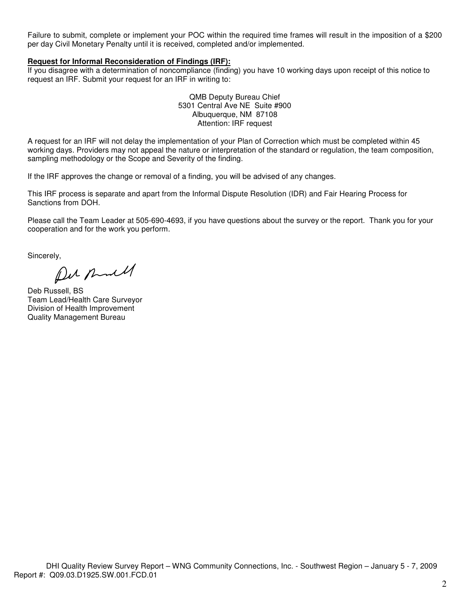Failure to submit, complete or implement your POC within the required time frames will result in the imposition of a \$200 per day Civil Monetary Penalty until it is received, completed and/or implemented.

### **Request for Informal Reconsideration of Findings (IRF):**

If you disagree with a determination of noncompliance (finding) you have 10 working days upon receipt of this notice to request an IRF. Submit your request for an IRF in writing to:

> QMB Deputy Bureau Chief 5301 Central Ave NE Suite #900 Albuquerque, NM 87108 Attention: IRF request

A request for an IRF will not delay the implementation of your Plan of Correction which must be completed within 45 working days. Providers may not appeal the nature or interpretation of the standard or regulation, the team composition, sampling methodology or the Scope and Severity of the finding.

If the IRF approves the change or removal of a finding, you will be advised of any changes.

This IRF process is separate and apart from the Informal Dispute Resolution (IDR) and Fair Hearing Process for Sanctions from DOH.

Please call the Team Leader at 505-690-4693, if you have questions about the survey or the report. Thank you for your cooperation and for the work you perform.

Sincerely,

Pur Rull

Deb Russell, BS Team Lead/Health Care Surveyor Division of Health Improvement Quality Management Bureau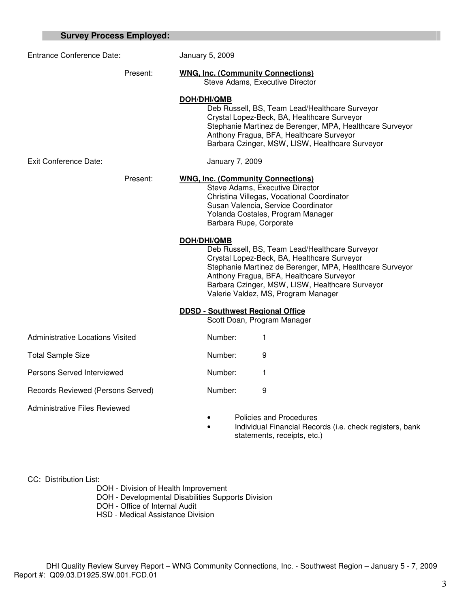| <b>Survey Process Employed:</b>   |                                                                                                                                                                                                                                                                                                                |
|-----------------------------------|----------------------------------------------------------------------------------------------------------------------------------------------------------------------------------------------------------------------------------------------------------------------------------------------------------------|
| Entrance Conference Date:         | January 5, 2009                                                                                                                                                                                                                                                                                                |
| Present:                          | <b>WNG, Inc. (Community Connections)</b><br>Steve Adams, Executive Director                                                                                                                                                                                                                                    |
|                                   | DOH/DHI/QMB<br>Deb Russell, BS, Team Lead/Healthcare Surveyor<br>Crystal Lopez-Beck, BA, Healthcare Surveyor<br>Stephanie Martinez de Berenger, MPA, Healthcare Surveyor<br>Anthony Fragua, BFA, Healthcare Surveyor<br>Barbara Czinger, MSW, LISW, Healthcare Surveyor                                        |
| Exit Conference Date:             | January 7, 2009                                                                                                                                                                                                                                                                                                |
| Present:                          | <b>WNG, Inc. (Community Connections)</b><br>Steve Adams, Executive Director<br>Christina Villegas, Vocational Coordinator<br>Susan Valencia, Service Coordinator<br>Yolanda Costales, Program Manager<br>Barbara Rupe, Corporate                                                                               |
|                                   | DOH/DHI/QMB<br>Deb Russell, BS, Team Lead/Healthcare Surveyor<br>Crystal Lopez-Beck, BA, Healthcare Surveyor<br>Stephanie Martinez de Berenger, MPA, Healthcare Surveyor<br>Anthony Fragua, BFA, Healthcare Surveyor<br>Barbara Czinger, MSW, LISW, Healthcare Surveyor<br>Valerie Valdez, MS, Program Manager |
|                                   | <b>DDSD - Southwest Regional Office</b><br>Scott Doan, Program Manager                                                                                                                                                                                                                                         |
| Administrative Locations Visited  | Number:<br>1                                                                                                                                                                                                                                                                                                   |
| <b>Total Sample Size</b>          | Number:<br>9                                                                                                                                                                                                                                                                                                   |
| Persons Served Interviewed        | Number:<br>1                                                                                                                                                                                                                                                                                                   |
| Records Reviewed (Persons Served) | 9<br>Number:                                                                                                                                                                                                                                                                                                   |
| Administrative Files Reviewed     | $\overline{\phantom{a}}$                                                                                                                                                                                                                                                                                       |

• Policies and Procedures

• Individual Financial Records (i.e. check registers, bank statements, receipts, etc.)

CC: Distribution List:

DOH - Division of Health Improvement

DOH - Developmental Disabilities Supports Division

DOH - Office of Internal Audit

HSD - Medical Assistance Division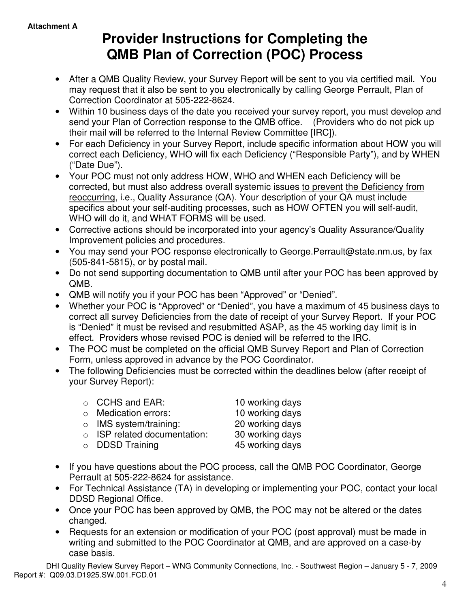# **Provider Instructions for Completing the QMB Plan of Correction (POC) Process**

- After a QMB Quality Review, your Survey Report will be sent to you via certified mail. You may request that it also be sent to you electronically by calling George Perrault, Plan of Correction Coordinator at 505-222-8624.
- Within 10 business days of the date you received your survey report, you must develop and send your Plan of Correction response to the QMB office. (Providers who do not pick up their mail will be referred to the Internal Review Committee [IRC]).
- For each Deficiency in your Survey Report, include specific information about HOW you will correct each Deficiency, WHO will fix each Deficiency ("Responsible Party"), and by WHEN ("Date Due").
- Your POC must not only address HOW, WHO and WHEN each Deficiency will be corrected, but must also address overall systemic issues to prevent the Deficiency from reoccurring, i.e., Quality Assurance (QA). Your description of your QA must include specifics about your self-auditing processes, such as HOW OFTEN you will self-audit, WHO will do it, and WHAT FORMS will be used.
- Corrective actions should be incorporated into your agency's Quality Assurance/Quality Improvement policies and procedures.
- You may send your POC response electronically to George. Perrault@state.nm.us, by fax (505-841-5815), or by postal mail.
- Do not send supporting documentation to QMB until after your POC has been approved by QMB.
- QMB will notify you if your POC has been "Approved" or "Denied".
- Whether your POC is "Approved" or "Denied", you have a maximum of 45 business days to correct all survey Deficiencies from the date of receipt of your Survey Report. If your POC is "Denied" it must be revised and resubmitted ASAP, as the 45 working day limit is in effect. Providers whose revised POC is denied will be referred to the IRC.
- The POC must be completed on the official QMB Survey Report and Plan of Correction Form, unless approved in advance by the POC Coordinator.
- The following Deficiencies must be corrected within the deadlines below (after receipt of your Survey Report):

| $\circ$ CCHS and EAR:              | 10 working days |
|------------------------------------|-----------------|
| $\circ$ Medication errors:         | 10 working days |
| $\circ$ IMS system/training:       | 20 working days |
| $\circ$ ISP related documentation: | 30 working days |
| $\circ$ DDSD Training              | 45 working days |

- If you have questions about the POC process, call the QMB POC Coordinator, George Perrault at 505-222-8624 for assistance.
- For Technical Assistance (TA) in developing or implementing your POC, contact your local DDSD Regional Office.
- Once your POC has been approved by QMB, the POC may not be altered or the dates changed.
- Requests for an extension or modification of your POC (post approval) must be made in writing and submitted to the POC Coordinator at QMB, and are approved on a case-by case basis.

DHI Quality Review Survey Report – WNG Community Connections, Inc. - Southwest Region – January 5 - 7, 2009 Report #: Q09.03.D1925.SW.001.FCD.01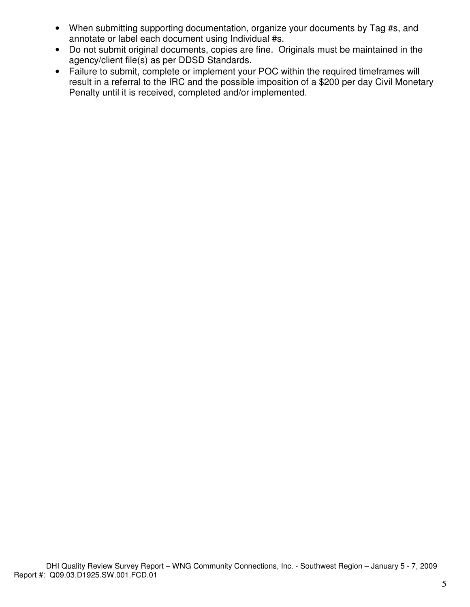- When submitting supporting documentation, organize your documents by Tag #s, and annotate or label each document using Individual #s.
- Do not submit original documents, copies are fine. Originals must be maintained in the agency/client file(s) as per DDSD Standards.
- Failure to submit, complete or implement your POC within the required timeframes will result in a referral to the IRC and the possible imposition of a \$200 per day Civil Monetary Penalty until it is received, completed and/or implemented.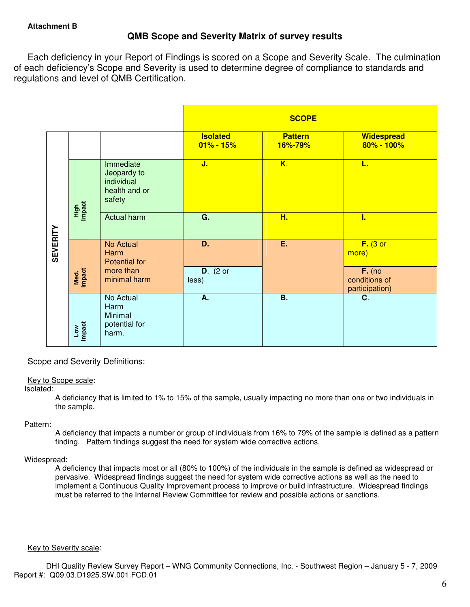# **QMB Scope and Severity Matrix of survey results**

Each deficiency in your Report of Findings is scored on a Scope and Severity Scale. The culmination of each deficiency's Scope and Severity is used to determine degree of compliance to standards and regulations and level of QMB Certification.

|                 |                      |                                                                               |                                  | <b>SCOPE</b>              |                                                                    |
|-----------------|----------------------|-------------------------------------------------------------------------------|----------------------------------|---------------------------|--------------------------------------------------------------------|
|                 |                      |                                                                               | <b>Isolated</b><br>$01\% - 15\%$ | <b>Pattern</b><br>16%-79% | Widespread<br>80% - 100%                                           |
|                 | High<br>Impact       | Immediate<br>Jeopardy to<br>individual<br>health and or<br>safety             | J.                               | $\overline{\mathsf{K}.}$  | L.                                                                 |
|                 |                      | Actual harm                                                                   | $\overline{G}$ .                 | H.                        | Ī.                                                                 |
| <b>SEVERITY</b> | Med.<br>Impact       | No Actual<br><b>Harm</b><br><b>Potential for</b><br>more than<br>minimal harm | D.<br>$D.$ (2 or<br>less)        | E                         | $F.$ (3 or<br>more)<br>$F.$ (no<br>conditions of<br>participation) |
|                 | <b>Impact</b><br>Low | No Actual<br>Harm<br>Minimal<br>potential for<br>harm.                        | А.                               | <b>B.</b>                 | C.                                                                 |

## Scope and Severity Definitions:

#### Key to Scope scale:

Isolated:

A deficiency that is limited to 1% to 15% of the sample, usually impacting no more than one or two individuals in the sample.

#### Pattern:

A deficiency that impacts a number or group of individuals from 16% to 79% of the sample is defined as a pattern finding. Pattern findings suggest the need for system wide corrective actions.

## Widespread:

A deficiency that impacts most or all (80% to 100%) of the individuals in the sample is defined as widespread or pervasive. Widespread findings suggest the need for system wide corrective actions as well as the need to implement a Continuous Quality Improvement process to improve or build infrastructure. Widespread findings must be referred to the Internal Review Committee for review and possible actions or sanctions.

#### Key to Severity scale: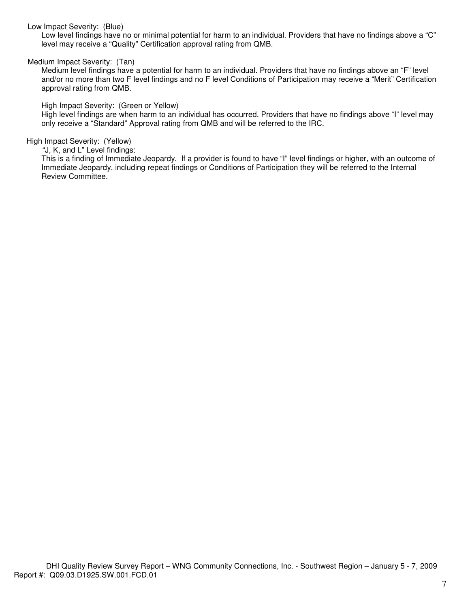## Low Impact Severity: (Blue)

Low level findings have no or minimal potential for harm to an individual. Providers that have no findings above a "C" level may receive a "Quality" Certification approval rating from QMB.

## Medium Impact Severity: (Tan)

Medium level findings have a potential for harm to an individual. Providers that have no findings above an "F" level and/or no more than two F level findings and no F level Conditions of Participation may receive a "Merit" Certification approval rating from QMB.

High Impact Severity: (Green or Yellow)

High level findings are when harm to an individual has occurred. Providers that have no findings above "I" level may only receive a "Standard" Approval rating from QMB and will be referred to the IRC.

## High Impact Severity: (Yellow)

"J, K, and L" Level findings:

This is a finding of Immediate Jeopardy. If a provider is found to have "I" level findings or higher, with an outcome of Immediate Jeopardy, including repeat findings or Conditions of Participation they will be referred to the Internal Review Committee.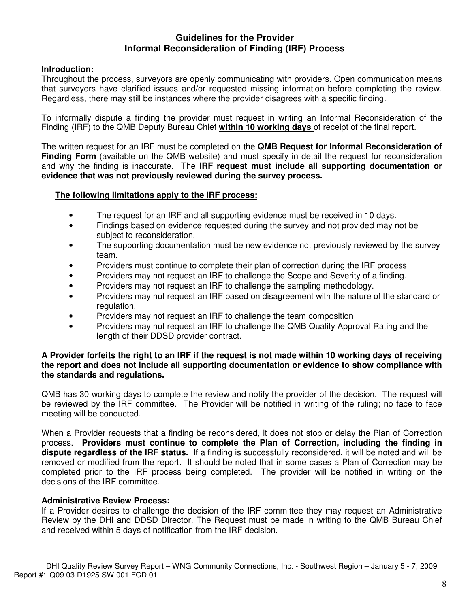# **Guidelines for the Provider Informal Reconsideration of Finding (IRF) Process**

# **Introduction:**

Throughout the process, surveyors are openly communicating with providers. Open communication means that surveyors have clarified issues and/or requested missing information before completing the review. Regardless, there may still be instances where the provider disagrees with a specific finding.

To informally dispute a finding the provider must request in writing an Informal Reconsideration of the Finding (IRF) to the QMB Deputy Bureau Chief **within 10 working days** of receipt of the final report.

The written request for an IRF must be completed on the **QMB Request for Informal Reconsideration of Finding Form** (available on the QMB website) and must specify in detail the request for reconsideration and why the finding is inaccurate. The **IRF request must include all supporting documentation or evidence that was not previously reviewed during the survey process.** 

## **The following limitations apply to the IRF process:**

- The request for an IRF and all supporting evidence must be received in 10 days.
- Findings based on evidence requested during the survey and not provided may not be subject to reconsideration.
- The supporting documentation must be new evidence not previously reviewed by the survey team.
- Providers must continue to complete their plan of correction during the IRF process
- Providers may not request an IRF to challenge the Scope and Severity of a finding.
- Providers may not request an IRF to challenge the sampling methodology.
- Providers may not request an IRF based on disagreement with the nature of the standard or regulation.
- Providers may not request an IRF to challenge the team composition
- Providers may not request an IRF to challenge the QMB Quality Approval Rating and the length of their DDSD provider contract.

## **A Provider forfeits the right to an IRF if the request is not made within 10 working days of receiving the report and does not include all supporting documentation or evidence to show compliance with the standards and regulations.**

QMB has 30 working days to complete the review and notify the provider of the decision. The request will be reviewed by the IRF committee. The Provider will be notified in writing of the ruling; no face to face meeting will be conducted.

When a Provider requests that a finding be reconsidered, it does not stop or delay the Plan of Correction process. **Providers must continue to complete the Plan of Correction, including the finding in dispute regardless of the IRF status.** If a finding is successfully reconsidered, it will be noted and will be removed or modified from the report. It should be noted that in some cases a Plan of Correction may be completed prior to the IRF process being completed. The provider will be notified in writing on the decisions of the IRF committee.

# **Administrative Review Process:**

If a Provider desires to challenge the decision of the IRF committee they may request an Administrative Review by the DHI and DDSD Director. The Request must be made in writing to the QMB Bureau Chief and received within 5 days of notification from the IRF decision.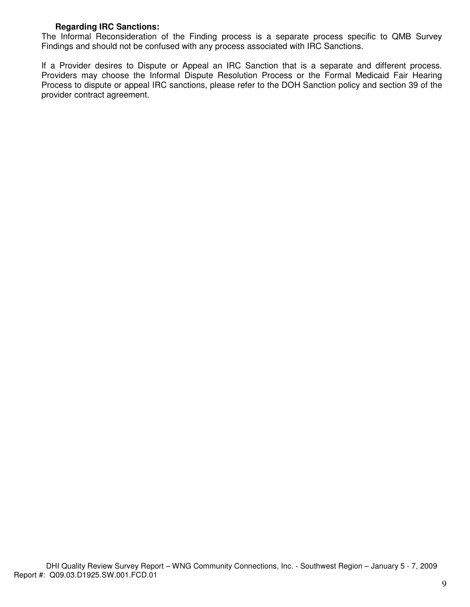# **Regarding IRC Sanctions:**

The Informal Reconsideration of the Finding process is a separate process specific to QMB Survey Findings and should not be confused with any process associated with IRC Sanctions.

If a Provider desires to Dispute or Appeal an IRC Sanction that is a separate and different process. Providers may choose the Informal Dispute Resolution Process or the Formal Medicaid Fair Hearing Process to dispute or appeal IRC sanctions, please refer to the DOH Sanction policy and section 39 of the provider contract agreement.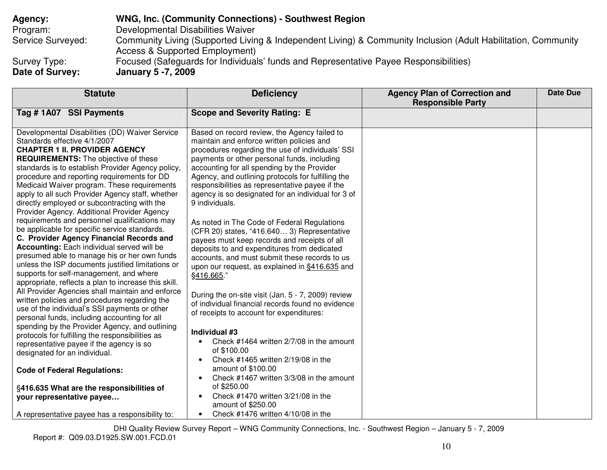**Agency: WNG, Inc. (Community Connections) - Southwest Region** Program: Developmental Disabilities Waiver Service Surveyed: Community Living (Supported Living & Independent Living) & Community Inclusion (Adult Habilitation, Community Access & Supported Employment) Survey Type: Focused (Safeguards for Individuals' funds and Representative Payee Responsibilities) **Date of Survey: January 5 -7, 2009** 

| <b>Statute</b>                                                                                                                                                                                                                                                                                                                                                                                                                                                              | <b>Deficiency</b>                                                                                                                                                                                                                                                                                                                                                                                                            | <b>Agency Plan of Correction and</b><br><b>Responsible Party</b> | <b>Date Due</b> |
|-----------------------------------------------------------------------------------------------------------------------------------------------------------------------------------------------------------------------------------------------------------------------------------------------------------------------------------------------------------------------------------------------------------------------------------------------------------------------------|------------------------------------------------------------------------------------------------------------------------------------------------------------------------------------------------------------------------------------------------------------------------------------------------------------------------------------------------------------------------------------------------------------------------------|------------------------------------------------------------------|-----------------|
| Tag #1A07 SSI Payments                                                                                                                                                                                                                                                                                                                                                                                                                                                      | <b>Scope and Severity Rating: E</b>                                                                                                                                                                                                                                                                                                                                                                                          |                                                                  |                 |
| Developmental Disabilities (DD) Waiver Service<br>Standards effective 4/1/2007<br><b>CHAPTER 1 II. PROVIDER AGENCY</b><br><b>REQUIREMENTS:</b> The objective of these<br>standards is to establish Provider Agency policy,<br>procedure and reporting requirements for DD<br>Medicaid Waiver program. These requirements<br>apply to all such Provider Agency staff, whether<br>directly employed or subcontracting with the<br>Provider Agency. Additional Provider Agency | Based on record review, the Agency failed to<br>maintain and enforce written policies and<br>procedures regarding the use of individuals' SSI<br>payments or other personal funds, including<br>accounting for all spending by the Provider<br>Agency, and outlining protocols for fulfilling the<br>responsibilities as representative payee if the<br>agency is so designated for an individual for 3 of<br>9 individuals. |                                                                  |                 |
| requirements and personnel qualifications may<br>be applicable for specific service standards.<br>C. Provider Agency Financial Records and<br><b>Accounting:</b> Each individual served will be<br>presumed able to manage his or her own funds<br>unless the ISP documents justified limitations or<br>supports for self-management, and where<br>appropriate, reflects a plan to increase this skill.                                                                     | As noted in The Code of Federal Regulations<br>(CFR 20) states, "416.640 3) Representative<br>payees must keep records and receipts of all<br>deposits to and expenditures from dedicated<br>accounts, and must submit these records to us<br>upon our request, as explained in §416.635 and<br>§416.665."                                                                                                                   |                                                                  |                 |
| All Provider Agencies shall maintain and enforce<br>written policies and procedures regarding the<br>use of the individual's SSI payments or other<br>personal funds, including accounting for all                                                                                                                                                                                                                                                                          | During the on-site visit (Jan. 5 - 7, 2009) review<br>of individual financial records found no evidence<br>of receipts to account for expenditures:                                                                                                                                                                                                                                                                          |                                                                  |                 |
| spending by the Provider Agency, and outlining<br>protocols for fulfilling the responsibilities as<br>representative payee if the agency is so<br>designated for an individual.                                                                                                                                                                                                                                                                                             | Individual #3<br>Check #1464 written 2/7/08 in the amount<br>$\bullet$<br>of \$100.00<br>Check #1465 written 2/19/08 in the<br>$\bullet$                                                                                                                                                                                                                                                                                     |                                                                  |                 |
| <b>Code of Federal Regulations:</b>                                                                                                                                                                                                                                                                                                                                                                                                                                         | amount of \$100.00<br>Check #1467 written 3/3/08 in the amount<br>$\bullet$                                                                                                                                                                                                                                                                                                                                                  |                                                                  |                 |
| §416.635 What are the responsibilities of<br>your representative payee                                                                                                                                                                                                                                                                                                                                                                                                      | of \$250.00<br>Check #1470 written 3/21/08 in the<br>$\bullet$<br>amount of \$250.00                                                                                                                                                                                                                                                                                                                                         |                                                                  |                 |
| A representative payee has a responsibility to:                                                                                                                                                                                                                                                                                                                                                                                                                             | Check #1476 written 4/10/08 in the<br>$\bullet$                                                                                                                                                                                                                                                                                                                                                                              |                                                                  |                 |

DHI Quality Review Survey Report – WNG Community Connections, Inc. - Southwest Region – January 5 - 7, 2009 Report #: Q09.03.D1925.SW.001.FCD.01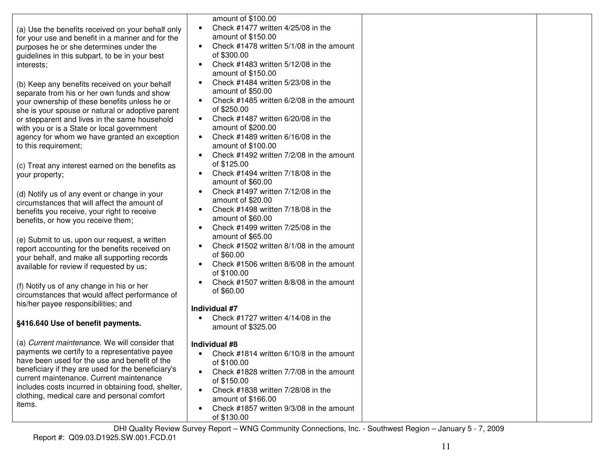| (a) Use the benefits received on your behalf only<br>for your use and benefit in a manner and for the<br>purposes he or she determines under the<br>guidelines in this subpart, to be in your best<br>interests;                                                                                                                                                         | amount of \$100.00<br>Check #1477 written 4/25/08 in the<br>$\bullet$<br>amount of \$150.00<br>Check #1478 written 5/1/08 in the amount<br>$\bullet$<br>of \$300.00<br>Check #1483 written 5/12/08 in the<br>$\bullet$<br>amount of \$150.00                                                                                                            |
|--------------------------------------------------------------------------------------------------------------------------------------------------------------------------------------------------------------------------------------------------------------------------------------------------------------------------------------------------------------------------|---------------------------------------------------------------------------------------------------------------------------------------------------------------------------------------------------------------------------------------------------------------------------------------------------------------------------------------------------------|
| (b) Keep any benefits received on your behalf<br>separate from his or her own funds and show<br>your ownership of these benefits unless he or<br>she is your spouse or natural or adoptive parent<br>or stepparent and lives in the same household<br>with you or is a State or local government<br>agency for whom we have granted an exception<br>to this requirement; | Check #1484 written 5/23/08 in the<br>$\bullet$<br>amount of \$50.00<br>Check #1485 written 6/2/08 in the amount<br>$\bullet$<br>of \$250.00<br>Check #1487 written 6/20/08 in the<br>$\bullet$<br>amount of \$200.00<br>Check #1489 written 6/16/08 in the<br>$\bullet$<br>amount of \$100.00<br>Check #1492 written 7/2/08 in the amount<br>$\bullet$ |
| (c) Treat any interest earned on the benefits as<br>your property;                                                                                                                                                                                                                                                                                                       | of \$125.00<br>Check #1494 written 7/18/08 in the<br>$\bullet$<br>amount of \$60.00                                                                                                                                                                                                                                                                     |
| (d) Notify us of any event or change in your<br>circumstances that will affect the amount of<br>benefits you receive, your right to receive<br>benefits, or how you receive them;                                                                                                                                                                                        | Check #1497 written 7/12/08 in the<br>$\bullet$<br>amount of \$20.00<br>Check #1498 written 7/18/08 in the<br>$\bullet$<br>amount of \$60.00<br>Check #1499 written 7/25/08 in the<br>$\bullet$                                                                                                                                                         |
| (e) Submit to us, upon our request, a written<br>report accounting for the benefits received on<br>your behalf, and make all supporting records<br>available for review if requested by us;                                                                                                                                                                              | amount of \$65.00<br>Check #1502 written 8/1/08 in the amount<br>of \$60.00<br>Check #1506 written 8/6/08 in the amount<br>of \$100.00                                                                                                                                                                                                                  |
| (f) Notify us of any change in his or her<br>circumstances that would affect performance of<br>his/her payee responsibilities; and                                                                                                                                                                                                                                       | Check #1507 written 8/8/08 in the amount<br>of \$60.00<br>Individual #7                                                                                                                                                                                                                                                                                 |
| §416.640 Use of benefit payments.                                                                                                                                                                                                                                                                                                                                        | Check #1727 written 4/14/08 in the<br>amount of \$325.00                                                                                                                                                                                                                                                                                                |
| (a) Current maintenance. We will consider that<br>payments we certify to a representative payee<br>have been used for the use and benefit of the<br>beneficiary if they are used for the beneficiary's<br>current maintenance. Current maintenance<br>includes costs incurred in obtaining food, shelter,<br>clothing, medical care and personal comfort<br>items.       | Individual #8<br>Check $\#1814$ written 6/10/8 in the amount<br>of \$100.00<br>Check #1828 written 7/7/08 in the amount<br>of \$150.00<br>Check #1838 written 7/28/08 in the<br>$\bullet$<br>amount of \$166.00<br>Check #1857 written 9/3/08 in the amount<br>$\bullet$<br>of \$130.00                                                                 |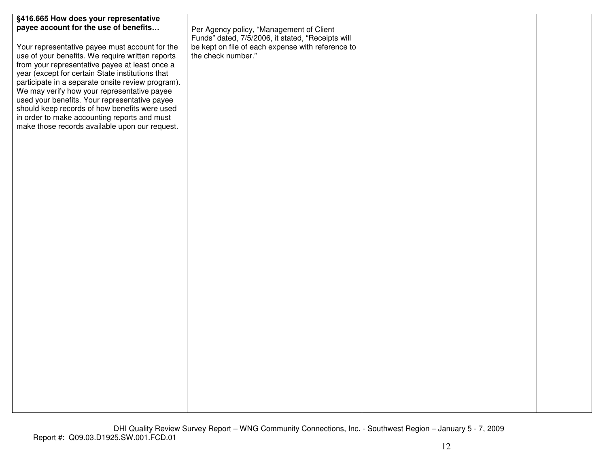| §416.665 How does your representative<br>payee account for the use of benefits<br>Your representative payee must account for the<br>use of your benefits. We require written reports<br>from your representative payee at least once a<br>year (except for certain State institutions that<br>participate in a separate onsite review program).<br>We may verify how your representative payee<br>used your benefits. Your representative payee<br>should keep records of how benefits were used<br>in order to make accounting reports and must<br>make those records available upon our request. | Per Agency policy, "Management of Client<br>Funds" dated, 7/5/2006, it stated, "Receipts will<br>be kept on file of each expense with reference to<br>the check number." |  |
|----------------------------------------------------------------------------------------------------------------------------------------------------------------------------------------------------------------------------------------------------------------------------------------------------------------------------------------------------------------------------------------------------------------------------------------------------------------------------------------------------------------------------------------------------------------------------------------------------|--------------------------------------------------------------------------------------------------------------------------------------------------------------------------|--|
|                                                                                                                                                                                                                                                                                                                                                                                                                                                                                                                                                                                                    |                                                                                                                                                                          |  |